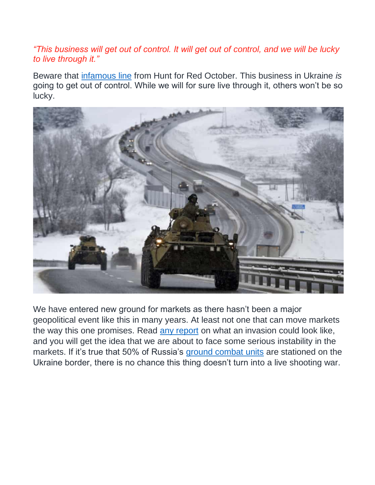## *"This business will get out of control. It will get out of control, and we will be lucky to live through it."*

Beware that [infamous line](https://www.youtube.com/watch?v=YZuMe5RvxPQ) from Hunt for Red October. This business in Ukraine *is*  going to get out of control. While we will for sure live through it, others won't be so lucky.



We have entered new ground for markets as there hasn't been a major geopolitical event like this in many years. At least not one that can move markets the way this one promises. Read [any report](https://www.cnbc.com/2022/02/18/more-shelling-reported-in-ukraine-as-blinken-warns-invasion-imminent.html) on what an invasion could look like, and you will get the idea that we are about to face some serious instability in the markets. If it's true that 50% of Russia's [ground combat units](https://www.businessinsider.com/russia-half-ground-combat-units-ukraine-border-uk-2022-2) are stationed on the Ukraine border, there is no chance this thing doesn't turn into a live shooting war.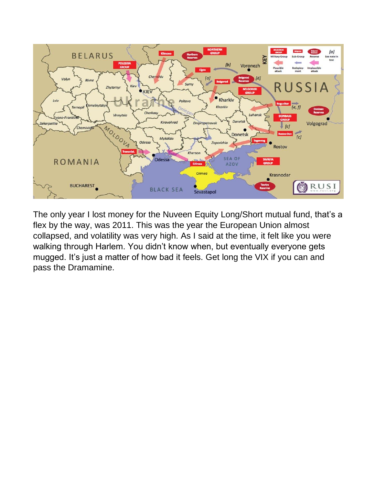

The only year I lost money for the Nuveen Equity Long/Short mutual fund, that's a flex by the way, was 2011. This was the year the European Union almost collapsed, and volatility was very high. As I said at the time, it felt like you were walking through Harlem. You didn't know when, but eventually everyone gets mugged. It's just a matter of how bad it feels. Get long the VIX if you can and pass the Dramamine.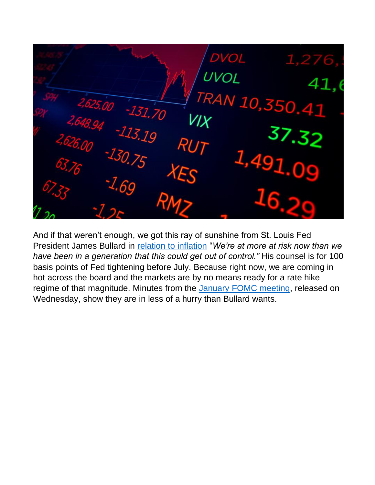DVOL UVOL 41 AN 10,350.4  $-131.70$ RU 1,49

And if that weren't enough, we got this ray of sunshine from St. Louis Fed President James Bullard in [relation to inflation](https://www.cnbc.com/2022/02/17/feds-bullard-says-inflation-could-get-out-of-control-so-action-is-needed-now.html) "*We're at more at risk now than we have been in a generation that this could get out of control."* His counsel is for 100 basis points of Fed tightening before July. Because right now, we are coming in hot across the board and the markets are by no means ready for a rate hike regime of that magnitude. Minutes from the [January FOMC meeting,](https://www.cnbc.com/2022/02/16/federal-reserve-releases-minutes-from-its-january-meeting.html) released on Wednesday, show they are in less of a hurry than Bullard wants.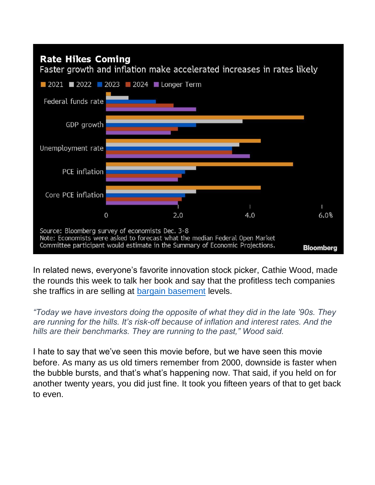

In related news, everyone's favorite innovation stock picker, Cathie Wood, made the rounds this week to talk her book and say that the profitless tech companies she traffics in are selling at [bargain basement](https://www.cnbc.com/2022/02/17/cathie-wood-says-her-innovation-stocks-are-way-undervalued-and-recent-fund-losses-temporary.html) levels.

*"Today we have investors doing the opposite of what they did in the late '90s. They are running for the hills. It's risk-off because of inflation and interest rates. And the hills are their benchmarks. They are running to the past," Wood said.*

I hate to say that we've seen this movie before, but we have seen this movie before. As many as us old timers remember from 2000, downside is faster when the bubble bursts, and that's what's happening now. That said, if you held on for another twenty years, you did just fine. It took you fifteen years of that to get back to even.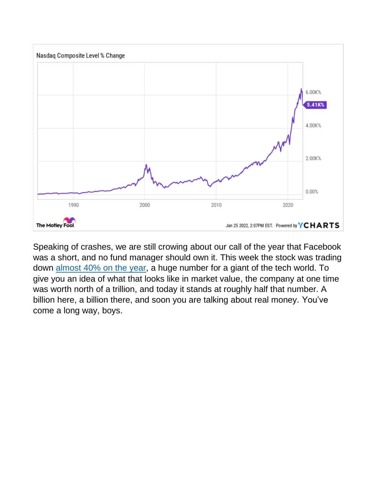

Speaking of crashes, we are still crowing about our call of the year that Facebook was a short, and no fund manager should own it. This week the stock was trading down [almost 40% on the year,](https://www.bloomberg.com/news/articles/2022-02-17/meta-platforms-falls-from-ranks-of-10-most-valuable-companies?srnd=premium&sref=T8qYl7yu) a huge number for a giant of the tech world. To give you an idea of what that looks like in market value, the company at one time was worth north of a trillion, and today it stands at roughly half that number. A billion here, a billion there, and soon you are talking about real money. You've come a long way, boys.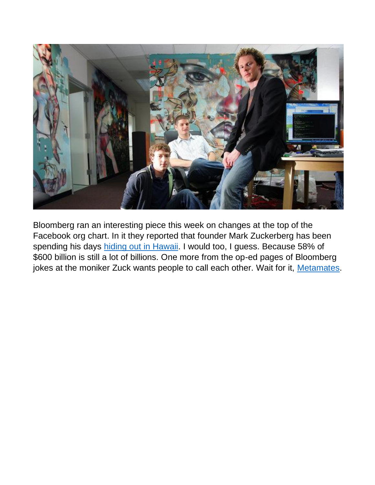

Bloomberg ran an interesting piece this week on changes at the top of the Facebook org chart. In it they reported that founder Mark Zuckerberg has been spending his days [hiding out in Hawaii.](https://www.bloomberg.com/opinion/articles/2022-02-17/zuckerberg-still-has-too-much-control-of-facebook?srnd=premium&sref=T8qYl7yu) I would too, I guess. Because 58% of \$600 billion is still a lot of billions. One more from the op-ed pages of Bloomberg jokes at the moniker Zuck wants people to call each other. Wait for it, [Metamates.](https://www.bloomberg.com/opinion/articles/2022-02-16/mark-zuckerberg-s-metamates-may-be-in-for-a-long-rough-voyage?sref=T8qYl7yu)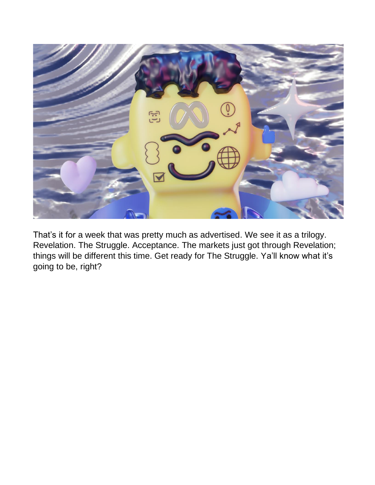

That's it for a week that was pretty much as advertised. We see it as a trilogy. Revelation. The Struggle. Acceptance. The markets just got through Revelation; things will be different this time. Get ready for The Struggle. Ya'll know what it's going to be, right?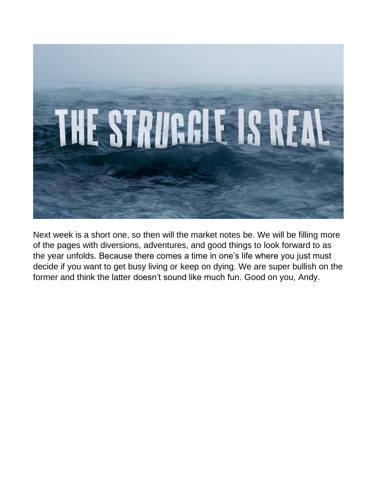

Next week is a short one, so then will the market notes be. We will be filling more of the pages with diversions, adventures, and good things to look forward to as the year unfolds. Because there comes a time in one's life where you just must decide if you want to get busy living or keep on dying. We are super bullish on the former and think the latter doesn't sound like much fun. Good on you, Andy.